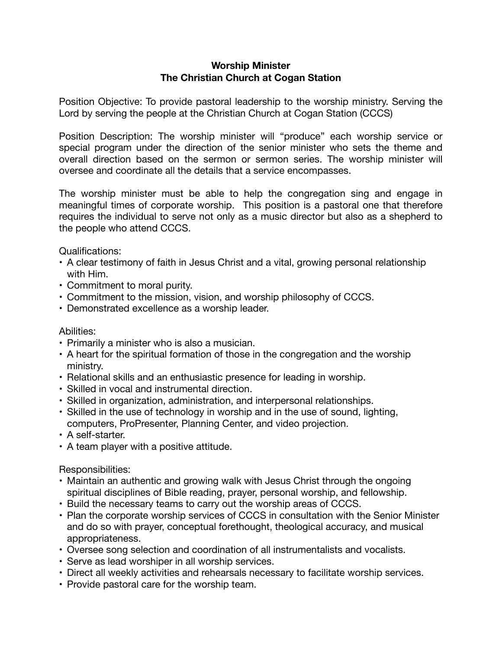## **Worship Minister The Christian Church at Cogan Station**

Position Objective: To provide pastoral leadership to the worship ministry. Serving the Lord by serving the people at the Christian Church at Cogan Station (CCCS)

Position Description: The worship minister will "produce" each worship service or special program under the direction of the senior minister who sets the theme and overall direction based on the sermon or sermon series. The worship minister will oversee and coordinate all the details that a service encompasses.

The worship minister must be able to help the congregation sing and engage in meaningful times of corporate worship. This position is a pastoral one that therefore requires the individual to serve not only as a music director but also as a shepherd to the people who attend CCCS.

Qualifications:

- A clear testimony of faith in Jesus Christ and a vital, growing personal relationship with Him.
- Commitment to moral purity.
- Commitment to the mission, vision, and worship philosophy of CCCS.
- Demonstrated excellence as a worship leader.

## Abilities:

- Primarily a minister who is also a musician.
- A heart for the spiritual formation of those in the congregation and the worship ministry.
- Relational skills and an enthusiastic presence for leading in worship.
- Skilled in vocal and instrumental direction.
- Skilled in organization, administration, and interpersonal relationships.
- Skilled in the use of technology in worship and in the use of sound, lighting, computers, ProPresenter, Planning Center, and video projection.
- A self-starter.
- A team player with a positive attitude.

Responsibilities:

- Maintain an authentic and growing walk with Jesus Christ through the ongoing spiritual disciplines of Bible reading, prayer, personal worship, and fellowship.
- Build the necessary teams to carry out the worship areas of CCCS.
- Plan the corporate worship services of CCCS in consultation with the Senior Minister and do so with prayer, conceptual forethought, theological accuracy, and musical appropriateness.
- Oversee song selection and coordination of all instrumentalists and vocalists.
- Serve as lead worshiper in all worship services.
- Direct all weekly activities and rehearsals necessary to facilitate worship services.
- Provide pastoral care for the worship team.